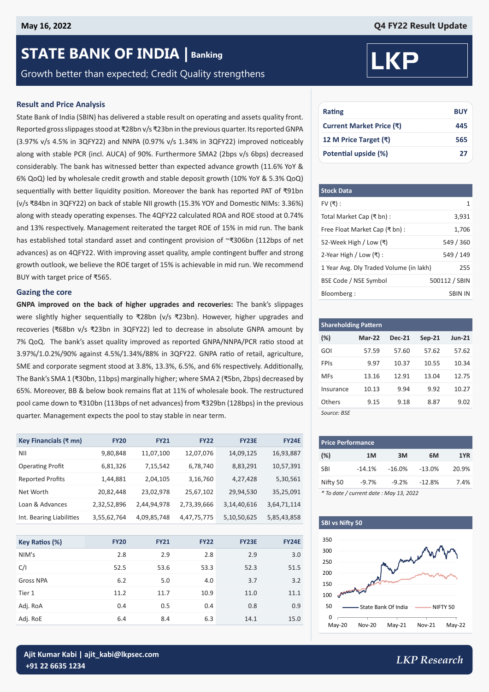# **STATE BANK OF INDIA | Banking**

Growth better than expected; Credit Quality strengthens

#### **Result and Price Analysis**

State Bank of India (SBIN) has delivered a stable result on operating and assets quality front. Reported gross slippages stood at ₹28bn v/s ₹23bn in the previous quarter. Its reported GNPA (3.97% v/s 4.5% in 3QFY22) and NNPA (0.97% v/s 1.34% in 3QFY22) improved noticeably along with stable PCR (incl. AUCA) of 90%. Furthermore SMA2 (2bps v/s 6bps) decreased considerably. The bank has witnessed better than expected advance growth (11.6% YoY & 6% QoQ) led by wholesale credit growth and stable deposit growth (10% YoY & 5.3% QoQ) sequentially with better liquidity position. Moreover the bank has reported PAT of ₹91bn (v/s ₹84bn in 3QFY22) on back of stable NII growth (15.3% YOY and Domestic NIMs: 3.36%) along with steady operating expenses. The 4QFY22 calculated ROA and ROE stood at 0.74% and 13% respectively. Management reiterated the target ROE of 15% in mid run. The bank has established total standard asset and contingent provision of ~₹306bn (112bps of net advances) as on 4QFY22. With improving asset quality, ample contingent buffer and strong growth outlook, we believe the ROE target of 15% is achievable in mid run. We recommend BUY with target price of ₹565.

#### **Gazing the core**

**GNPA improved on the back of higher upgrades and recoveries:** The bank's slippages were slightly higher sequentially to ₹28bn (v/s ₹23bn). However, higher upgrades and recoveries (₹68bn v/s ₹23bn in 3QFY22) led to decrease in absolute GNPA amount by 7% QoQ. The bank's asset quality improved as reported GNPA/NNPA/PCR ratio stood at 3.97%/1.0.2%/90% against 4.5%/1.34%/88% in 3QFY22. GNPA ratio of retail, agriculture, SME and corporate segment stood at 3.8%, 13.3%, 6.5%, and 6% respectively. Additionally, The Bank's SMA 1 (₹30bn, 11bps) marginally higher; where SMA 2 (₹5bn, 2bps) decreased by 65%. Moreover, BB & below book remains flat at 11% of wholesale book. The restructured pool came down to ₹310bn (113bps of net advances) from ₹329bn (128bps) in the previous quarter. Management expects the pool to stay stable in near term.

| Key Financials (₹ mn)    | <b>FY20</b> | <b>FY21</b> | <b>FY22</b> | <b>FY23E</b>   | <b>FY24E</b> |
|--------------------------|-------------|-------------|-------------|----------------|--------------|
| NII                      | 9,80,848    | 11,07,100   | 12,07,076   | 14,09,125      | 16,93,887    |
| <b>Operating Profit</b>  | 6,81,326    | 7,15,542    | 6,78,740    | 8,83,291       | 10,57,391    |
| <b>Reported Profits</b>  | 1,44,881    | 2,04,105    | 3,16,760    | 4,27,428       | 5,30,561     |
| Net Worth                | 20,82,448   | 23,02,978   | 25,67,102   | 29,94,530      | 35,25,091    |
| Loan & Advances          | 2,32,52,896 | 2,44,94,978 | 2,73,39,666 | 3, 14, 40, 616 | 3,64,71,114  |
| Int. Bearing Liabilities | 3,55,62,764 | 4,09,85,748 | 4,47,75,775 | 5,10,50,625    | 5,85,43,858  |

| Key Ratios (%)   | <b>FY20</b> | <b>FY21</b> | <b>FY22</b> | <b>FY23E</b> | <b>FY24E</b> |
|------------------|-------------|-------------|-------------|--------------|--------------|
| NIM's            | 2.8         | 2.9         | 2.8         | 2.9          | 3.0          |
| C/I              | 52.5        | 53.6        | 53.3        | 52.3         | 51.5         |
| <b>Gross NPA</b> | 6.2         | 5.0         | 4.0         | 3.7          | 3.2          |
| Tier 1           | 11.2        | 11.7        | 10.9        | 11.0         | 11.1         |
| Adj. RoA         | 0.4         | 0.5         | 0.4         | 0.8          | 0.9          |
| Adj. RoE         | 6.4         | 8.4         | 6.3         | 14.1         | 15.0         |

# **KP**

| Rating                   | <b>BUY</b> |
|--------------------------|------------|
| Current Market Price (₹) | 445        |
| 12 M Price Target (₹)    | 565        |
| Potential upside (%)     | 27         |

| <b>Stock Data</b>                       |                |
|-----------------------------------------|----------------|
| FV $($ ₹):                              | 1              |
| Total Market Cap (₹ bn) :               | 3,931          |
| Free Float Market Cap (₹ bn) :          | 1,706          |
| 52-Week High / Low (₹)                  | 549 / 360      |
| 2-Year High / Low $($ ₹ $)$ :           | 549 / 149      |
| 1 Year Avg. Dly Traded Volume (in lakh) | 255            |
| BSE Code / NSE Symbol                   | 500112 / SBIN  |
| Bloomberg:                              | <b>SBIN IN</b> |

| <b>Shareholding Pattern</b> |          |               |          |               |  |  |  |  |  |  |
|-----------------------------|----------|---------------|----------|---------------|--|--|--|--|--|--|
| $(\%)$                      | $Mar-22$ | <b>Dec-21</b> | $Sep-21$ | <b>Jun-21</b> |  |  |  |  |  |  |
| GOI                         | 57.59    | 57.60         | 57.62    | 57.62         |  |  |  |  |  |  |
| FPIs                        | 9.97     | 10.37         | 10.55    | 10.34         |  |  |  |  |  |  |
| <b>MFs</b>                  | 13.16    | 12.91         | 13.04    | 12.75         |  |  |  |  |  |  |
| Insurance                   | 10.13    | 9.94          | 9.92     | 10.27         |  |  |  |  |  |  |
| Others                      | 9.15     | 9.18          | 8.87     | 9.02          |  |  |  |  |  |  |
| Source: BSE                 |          |               |          |               |  |  |  |  |  |  |

| <b>Price Performance</b>            |           |           |          |       |  |  |  |  |  |  |
|-------------------------------------|-----------|-----------|----------|-------|--|--|--|--|--|--|
| (%)                                 | 1M        | 3M        | 6M       | 1YR   |  |  |  |  |  |  |
| <b>SBI</b>                          | $-14.1\%$ | $-16.0\%$ | -13.0%   | 20.9% |  |  |  |  |  |  |
| Nifty 50                            | $-9.7%$   | $-9.2\%$  | $-12.8%$ | 7.4%  |  |  |  |  |  |  |
| $\cdots$ $\cdots$ $\cdots$ $\cdots$ |           |           |          |       |  |  |  |  |  |  |

*\* To date / current date : May 13, 2022*



*LKP Research* **Ajit Kumar Kabi | ajit\_kabi@lkpsec.com +91 22 6635 1234**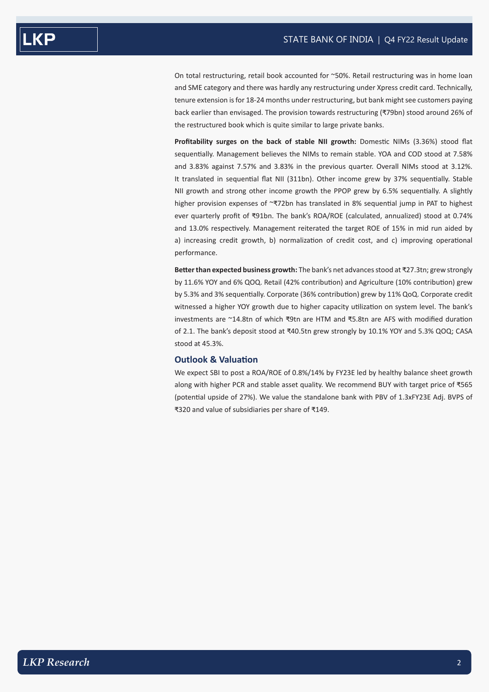On total restructuring, retail book accounted for ~50%. Retail restructuring was in home loan and SME category and there was hardly any restructuring under Xpress credit card. Technically, tenure extension is for 18-24 months under restructuring, but bank might see customers paying back earlier than envisaged. The provision towards restructuring (₹79bn) stood around 26% of the restructured book which is quite similar to large private banks.

**Profitability surges on the back of stable NII growth:** Domestic NIMs (3.36%) stood flat sequentially. Management believes the NIMs to remain stable. YOA and COD stood at 7.58% and 3.83% against 7.57% and 3.83% in the previous quarter. Overall NIMs stood at 3.12%. It translated in sequential flat NII (311bn). Other income grew by 37% sequentially. Stable NII growth and strong other income growth the PPOP grew by 6.5% sequentially. A slightly higher provision expenses of ~₹72bn has translated in 8% sequential jump in PAT to highest ever quarterly profit of ₹91bn. The bank's ROA/ROE (calculated, annualized) stood at 0.74% and 13.0% respectively. Management reiterated the target ROE of 15% in mid run aided by a) increasing credit growth, b) normalization of credit cost, and c) improving operational performance.

**Better than expected business growth:** The bank's net advances stood at ₹27.3tn; grew strongly by 11.6% YOY and 6% QOQ. Retail (42% contribution) and Agriculture (10% contribution) grew by 5.3% and 3% sequentially. Corporate (36% contribution) grew by 11% QoQ. Corporate credit witnessed a higher YOY growth due to higher capacity utilization on system level. The bank's investments are ~14.8tn of which ₹9tn are HTM and ₹5.8tn are AFS with modified duration of 2.1. The bank's deposit stood at ₹40.5tn grew strongly by 10.1% YOY and 5.3% QOQ; CASA stood at 45.3%.

#### **Outlook & Valuation**

We expect SBI to post a ROA/ROE of 0.8%/14% by FY23E led by healthy balance sheet growth along with higher PCR and stable asset quality. We recommend BUY with target price of ₹565 (potential upside of 27%). We value the standalone bank with PBV of 1.3xFY23E Adj. BVPS of ₹320 and value of subsidiaries per share of ₹149.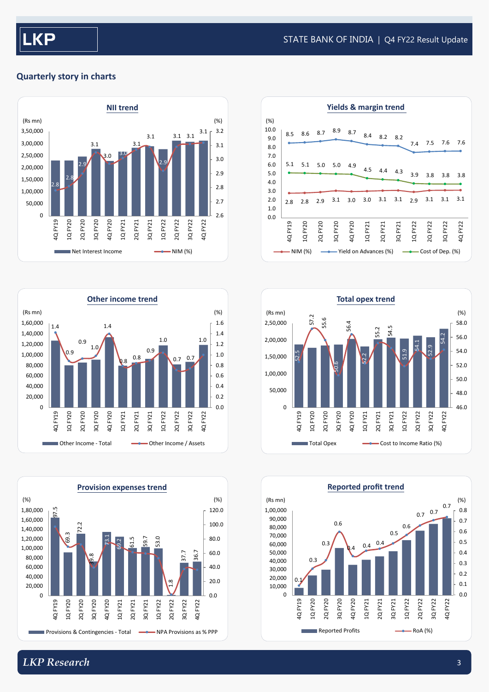#### STATE BANK OF INDIA | Q4 FY22 Result Update

### **Quarterly story in charts**













# *LKP Research* 3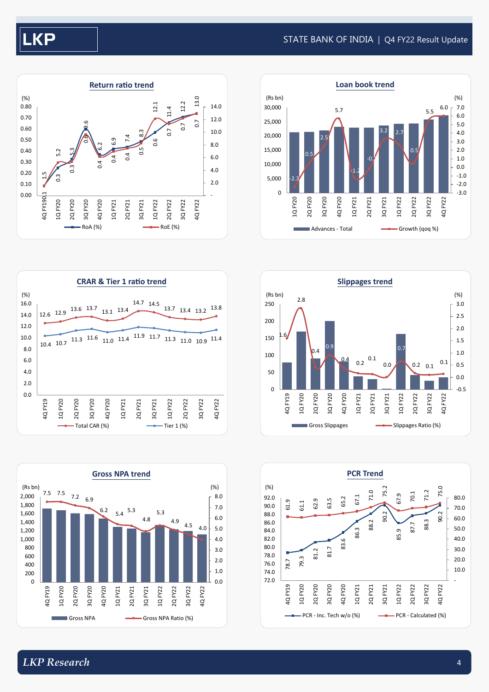# **KP**

#### STATE BANK OF INDIA | Q4 FY22 Result Update













0.0 2.0 4.0 6.0 8.0 10.0 12.0 14.0 16.0

(%)

4Q FY19 1Q FY20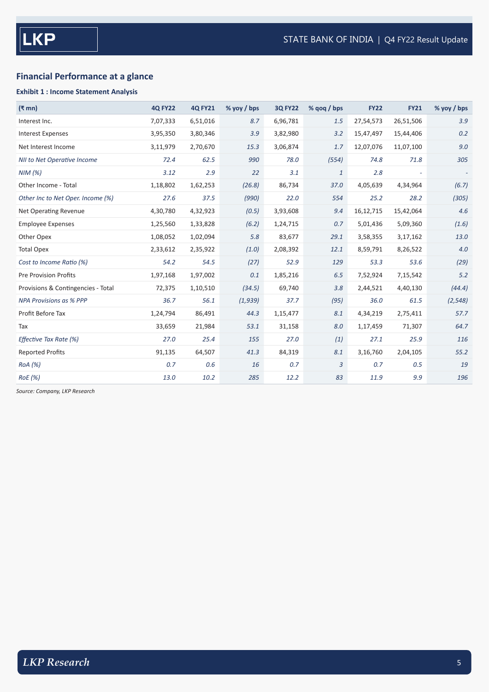## **Financial Performance at a glance**

#### **Exhibit 1 : Income Statement Analysis**

| $(3 \text{ mm})$                   | <b>4Q FY22</b> | <b>4Q FY21</b> | $%$ yoy / bps | <b>3Q FY22</b> | % $q$ oq / bps | <b>FY22</b> | <b>FY21</b> | % yoy / bps              |
|------------------------------------|----------------|----------------|---------------|----------------|----------------|-------------|-------------|--------------------------|
| Interest Inc.                      | 7,07,333       | 6,51,016       | 8.7           | 6,96,781       | 1.5            | 27,54,573   | 26,51,506   | 3.9                      |
| <b>Interest Expenses</b>           | 3,95,350       | 3,80,346       | 3.9           | 3,82,980       | 3.2            | 15,47,497   | 15,44,406   | 0.2                      |
| Net Interest Income                | 3,11,979       | 2,70,670       | 15.3          | 3,06,874       | 1.7            | 12,07,076   | 11,07,100   | 9.0                      |
| <b>NII to Net Operative Income</b> | 72.4           | 62.5           | 990           | 78.0           | (554)          | 74.8        | 71.8        | 305                      |
| NIM(%)                             | 3.12           | 2.9            | 22            | 3.1            | $\mathbf{1}$   | 2.8         |             | $\overline{\phantom{a}}$ |
| Other Income - Total               | 1,18,802       | 1,62,253       | (26.8)        | 86,734         | 37.0           | 4,05,639    | 4,34,964    | (6.7)                    |
| Other Inc to Net Oper. Income (%)  | 27.6           | 37.5           | (990)         | 22.0           | 554            | 25.2        | 28.2        | (305)                    |
| <b>Net Operating Revenue</b>       | 4,30,780       | 4,32,923       | (0.5)         | 3,93,608       | 9.4            | 16,12,715   | 15,42,064   | 4.6                      |
| <b>Employee Expenses</b>           | 1,25,560       | 1,33,828       | (6.2)         | 1,24,715       | 0.7            | 5,01,436    | 5,09,360    | (1.6)                    |
| Other Opex                         | 1,08,052       | 1,02,094       | 5.8           | 83,677         | 29.1           | 3,58,355    | 3,17,162    | 13.0                     |
| <b>Total Opex</b>                  | 2,33,612       | 2,35,922       | (1.0)         | 2,08,392       | 12.1           | 8,59,791    | 8,26,522    | 4.0                      |
| Cost to Income Ratio (%)           | 54.2           | 54.5           | (27)          | 52.9           | 129            | 53.3        | 53.6        | (29)                     |
| <b>Pre Provision Profits</b>       | 1,97,168       | 1,97,002       | 0.1           | 1,85,216       | 6.5            | 7,52,924    | 7,15,542    | 5.2                      |
| Provisions & Contingencies - Total | 72,375         | 1,10,510       | (34.5)        | 69,740         | 3.8            | 2,44,521    | 4,40,130    | (44.4)                   |
| <b>NPA Provisions as % PPP</b>     | 36.7           | 56.1           | (1,939)       | 37.7           | (95)           | 36.0        | 61.5        | (2, 548)                 |
| Profit Before Tax                  | 1,24,794       | 86,491         | 44.3          | 1,15,477       | 8.1            | 4,34,219    | 2,75,411    | 57.7                     |
| Tax                                | 33,659         | 21,984         | 53.1          | 31,158         | 8.0            | 1,17,459    | 71,307      | 64.7                     |
| Effective Tax Rate (%)             | 27.0           | 25.4           | 155           | 27.0           | (1)            | 27.1        | 25.9        | 116                      |
| <b>Reported Profits</b>            | 91,135         | 64,507         | 41.3          | 84,319         | 8.1            | 3,16,760    | 2,04,105    | 55.2                     |
| RoA (%)                            | 0.7            | 0.6            | 16            | 0.7            | $\overline{3}$ | 0.7         | 0.5         | 19                       |
| <b>RoE</b> (%)                     | 13.0           | 10.2           | 285           | 12.2           | 83             | 11.9        | 9.9         | 196                      |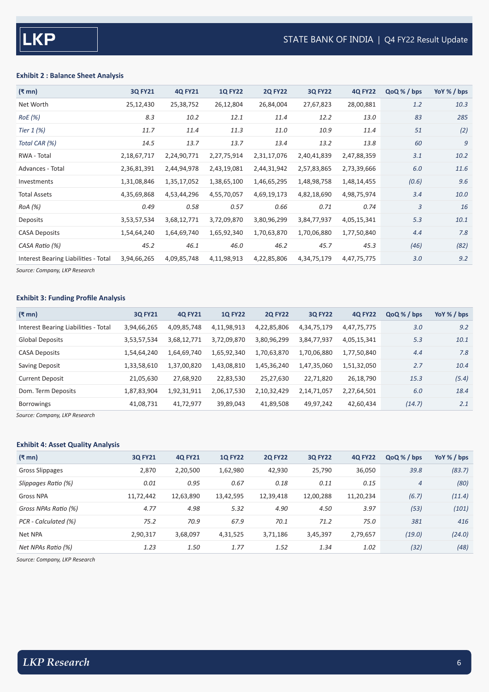#### **Exhibit 2 : Balance Sheet Analysis**

| $(\bar{\bar{\mathbf{x}}}$ mn)        | <b>3Q FY21</b> | <b>4Q FY21</b> | <b>1Q FY22</b> | <b>2Q FY22</b> | <b>3Q FY22</b> | <b>4Q FY22</b> | QoQ % / bps | YoY % / bps |
|--------------------------------------|----------------|----------------|----------------|----------------|----------------|----------------|-------------|-------------|
| Net Worth                            | 25,12,430      | 25,38,752      | 26,12,804      | 26,84,004      | 27,67,823      | 28,00,881      | 1.2         | 10.3        |
| RoE(%)                               | 8.3            | 10.2           | 12.1           | 11.4           | 12.2           | 13.0           | 83          | 285         |
| Tier $1$ (%)                         | 11.7           | 11.4           | 11.3           | 11.0           | 10.9           | 11.4           | 51          | (2)         |
| Total CAR (%)                        | 14.5           | 13.7           | 13.7           | 13.4           | 13.2           | 13.8           | 60          | 9           |
| RWA - Total                          | 2,18,67,717    | 2,24,90,771    | 2,27,75,914    | 2,31,17,076    | 2,40,41,839    | 2,47,88,359    | 3.1         | 10.2        |
| Advances - Total                     | 2,36,81,391    | 2,44,94,978    | 2,43,19,081    | 2,44,31,942    | 2,57,83,865    | 2,73,39,666    | 6.0         | 11.6        |
| Investments                          | 1,31,08,846    | 1,35,17,052    | 1,38,65,100    | 1,46,65,295    | 1,48,98,758    | 1,48,14,455    | (0.6)       | 9.6         |
| <b>Total Assets</b>                  | 4,35,69,868    | 4,53,44,296    | 4,55,70,057    | 4,69,19,173    | 4,82,18,690    | 4,98,75,974    | 3.4         | 10.0        |
| RoA (%)                              | 0.49           | 0.58           | 0.57           | 0.66           | 0.71           | 0.74           | 3           | 16          |
| Deposits                             | 3,53,57,534    | 3,68,12,771    | 3,72,09,870    | 3,80,96,299    | 3,84,77,937    | 4,05,15,341    | 5.3         | 10.1        |
| <b>CASA Deposits</b>                 | 1,54,64,240    | 1,64,69,740    | 1,65,92,340    | 1,70,63,870    | 1,70,06,880    | 1,77,50,840    | 4.4         | 7.8         |
| CASA Ratio (%)                       | 45.2           | 46.1           | 46.0           | 46.2           | 45.7           | 45.3           | (46)        | (82)        |
| Interest Bearing Liabilities - Total | 3,94,66,265    | 4,09,85,748    | 4,11,98,913    | 4,22,85,806    | 4,34,75,179    | 4,47,75,775    | 3.0         | 9.2         |
|                                      |                |                |                |                |                |                |             |             |

*Source: Company, LKP Research*

#### **Exhibit 3: Funding Profile Analysis**

| $(\bar{\bar{\mathbf{x}}}$ mn)        | <b>30 FY21</b> | <b>40 FY21</b> | <b>10 FY22</b> | <b>20 FY22</b> | <b>30 FY22</b> | <b>40 FY22</b> | QoQ % / bps | Yo $\frac{9}{2}$ / bps |
|--------------------------------------|----------------|----------------|----------------|----------------|----------------|----------------|-------------|------------------------|
| Interest Bearing Liabilities - Total | 3,94,66,265    | 4,09,85,748    | 4,11,98,913    | 4,22,85,806    | 4,34,75,179    | 4,47,75,775    | 3.0         | 9.2                    |
| <b>Global Deposits</b>               | 3,53,57,534    | 3,68,12,771    | 3,72,09,870    | 3,80,96,299    | 3,84,77,937    | 4,05,15,341    | 5.3         | 10.1                   |
| <b>CASA Deposits</b>                 | 1,54,64,240    | 1,64,69,740    | 1,65,92,340    | 1,70,63,870    | 1,70,06,880    | 1,77,50,840    | 4.4         | 7.8                    |
| Saving Deposit                       | 1,33,58,610    | 1,37,00,820    | 1,43,08,810    | 1,45,36,240    | 1,47,35,060    | 1,51,32,050    | 2.7         | 10.4                   |
| <b>Current Deposit</b>               | 21,05,630      | 27,68,920      | 22,83,530      | 25,27,630      | 22,71,820      | 26,18,790      | 15.3        | (5.4)                  |
| Dom. Term Deposits                   | 1,87,83,904    | 1,92,31,911    | 2,06,17,530    | 2,10,32,429    | 2,14,71,057    | 2,27,64,501    | 6.0         | 18.4                   |
| <b>Borrowings</b>                    | 41,08,731      | 41,72,977      | 39,89,043      | 41,89,508      | 49,97,242      | 42,60,434      | (14.7)      | 2.1                    |

*Source: Company, LKP Research*

#### **Exhibit 4: Asset Quality Analysis**

| $(3 \text{ mm})$     | <b>3Q FY21</b> | <b>4Q FY21</b> | <b>1Q FY22</b> | <b>2Q FY22</b> | <b>3Q FY22</b> | <b>4Q FY22</b> | QoQ % / bps    | YoY % / bps |
|----------------------|----------------|----------------|----------------|----------------|----------------|----------------|----------------|-------------|
| Gross Slippages      | 2,870          | 2,20,500       | 1,62,980       | 42,930         | 25,790         | 36,050         | 39.8           | (83.7)      |
| Slippages Ratio (%)  | 0.01           | 0.95           | 0.67           | 0.18           | 0.11           | 0.15           | $\overline{4}$ | (80)        |
| <b>Gross NPA</b>     | 11,72,442      | 12,63,890      | 13,42,595      | 12,39,418      | 12,00,288      | 11,20,234      | (6.7)          | (11.4)      |
| Gross NPAs Ratio (%) | 4.77           | 4.98           | 5.32           | 4.90           | 4.50           | 3.97           | (53)           | (101)       |
| PCR - Calculated (%) | 75.2           | 70.9           | 67.9           | 70.1           | 71.2           | 75.0           | 381            | 416         |
| Net NPA              | 2,90,317       | 3,68,097       | 4,31,525       | 3,71,186       | 3,45,397       | 2,79,657       | (19.0)         | (24.0)      |
| Net NPAs Ratio (%)   | 1.23           | 1.50           | 1.77           | 1.52           | 1.34           | 1.02           | (32)           | (48)        |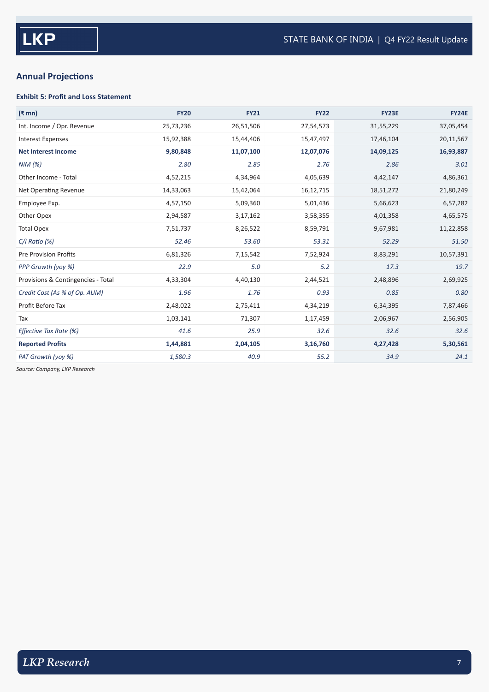## **Annual Projections**

#### **Exhibit 5: Profit and Loss Statement**

| $(\bar{\mathbf{z}}$ mn)            | <b>FY20</b> | <b>FY21</b> | <b>FY22</b> | <b>FY23E</b> | <b>FY24E</b> |
|------------------------------------|-------------|-------------|-------------|--------------|--------------|
| Int. Income / Opr. Revenue         | 25,73,236   | 26,51,506   | 27,54,573   | 31,55,229    | 37,05,454    |
| <b>Interest Expenses</b>           | 15,92,388   | 15,44,406   | 15,47,497   | 17,46,104    | 20,11,567    |
| <b>Net Interest Income</b>         | 9,80,848    | 11,07,100   | 12,07,076   | 14,09,125    | 16,93,887    |
| NIM(%)                             | 2.80        | 2.85        | 2.76        | 2.86         | 3.01         |
| Other Income - Total               | 4,52,215    | 4,34,964    | 4,05,639    | 4,42,147     | 4,86,361     |
| Net Operating Revenue              | 14,33,063   | 15,42,064   | 16,12,715   | 18,51,272    | 21,80,249    |
| Employee Exp.                      | 4,57,150    | 5,09,360    | 5,01,436    | 5,66,623     | 6,57,282     |
| Other Opex                         | 2,94,587    | 3,17,162    | 3,58,355    | 4,01,358     | 4,65,575     |
| <b>Total Opex</b>                  | 7,51,737    | 8,26,522    | 8,59,791    | 9,67,981     | 11,22,858    |
| $C/I$ Ratio $(%)$                  | 52.46       | 53.60       | 53.31       | 52.29        | 51.50        |
| <b>Pre Provision Profits</b>       | 6,81,326    | 7,15,542    | 7,52,924    | 8,83,291     | 10,57,391    |
| PPP Growth (yoy %)                 | 22.9        | 5.0         | 5.2         | 17.3         | 19.7         |
| Provisions & Contingencies - Total | 4,33,304    | 4,40,130    | 2,44,521    | 2,48,896     | 2,69,925     |
| Credit Cost (As % of Op. AUM)      | 1.96        | 1.76        | 0.93        | 0.85         | 0.80         |
| Profit Before Tax                  | 2,48,022    | 2,75,411    | 4,34,219    | 6,34,395     | 7,87,466     |
| Tax                                | 1,03,141    | 71,307      | 1,17,459    | 2,06,967     | 2,56,905     |
| Effective Tax Rate (%)             | 41.6        | 25.9        | 32.6        | 32.6         | 32.6         |
| <b>Reported Profits</b>            | 1,44,881    | 2,04,105    | 3,16,760    | 4,27,428     | 5,30,561     |
| PAT Growth (yoy %)                 | 1,580.3     | 40.9        | 55.2        | 34.9         | 24.1         |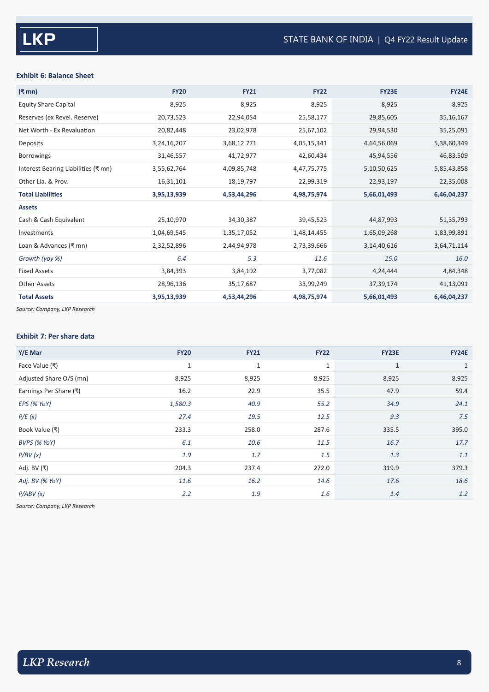#### **Exhibit 6: Balance Sheet**

| (₹ mn)                              | <b>FY20</b> | <b>FY21</b> | <b>FY22</b> | <b>FY23E</b> | <b>FY24E</b> |
|-------------------------------------|-------------|-------------|-------------|--------------|--------------|
| <b>Equity Share Capital</b>         | 8,925       | 8,925       | 8,925       | 8,925        | 8,925        |
| Reserves (ex Revel. Reserve)        | 20,73,523   | 22,94,054   | 25,58,177   | 29,85,605    | 35, 16, 167  |
| Net Worth - Ex Revaluation          | 20,82,448   | 23,02,978   | 25,67,102   | 29,94,530    | 35,25,091    |
| Deposits                            | 3,24,16,207 | 3,68,12,771 | 4,05,15,341 | 4,64,56,069  | 5,38,60,349  |
| <b>Borrowings</b>                   | 31,46,557   | 41,72,977   | 42,60,434   | 45,94,556    | 46,83,509    |
| Interest Bearing Liabilities (₹ mn) | 3,55,62,764 | 4,09,85,748 | 4,47,75,775 | 5,10,50,625  | 5,85,43,858  |
| Other Lia. & Prov.                  | 16,31,101   | 18,19,797   | 22,99,319   | 22,93,197    | 22,35,008    |
| <b>Total Liabilities</b>            | 3,95,13,939 | 4,53,44,296 | 4,98,75,974 | 5,66,01,493  | 6,46,04,237  |
| <b>Assets</b>                       |             |             |             |              |              |
| Cash & Cash Equivalent              | 25,10,970   | 34,30,387   | 39,45,523   | 44,87,993    | 51,35,793    |
| Investments                         | 1,04,69,545 | 1,35,17,052 | 1,48,14,455 | 1,65,09,268  | 1,83,99,891  |
| Loan & Advances (₹ mn)              | 2,32,52,896 | 2,44,94,978 | 2,73,39,666 | 3,14,40,616  | 3,64,71,114  |
| Growth (yoy %)                      | 6.4         | 5.3         | 11.6        | 15.0         | 16.0         |
| <b>Fixed Assets</b>                 | 3,84,393    | 3,84,192    | 3,77,082    | 4,24,444     | 4,84,348     |
| <b>Other Assets</b>                 | 28,96,136   | 35,17,687   | 33,99,249   | 37, 39, 174  | 41,13,091    |
| <b>Total Assets</b>                 | 3,95,13,939 | 4,53,44,296 | 4,98,75,974 | 5,66,01,493  | 6,46,04,237  |

*Source: Company, LKP Research*

#### **Exhibit 7: Per share data**

| Y/E Mar                 | <b>FY20</b> | <b>FY21</b>  | <b>FY22</b> | <b>FY23E</b> | <b>FY24E</b> |
|-------------------------|-------------|--------------|-------------|--------------|--------------|
| Face Value (₹)          | $\mathbf 1$ | $\mathbf{1}$ | $1\,$       | $\mathbf{1}$ | $\mathbf{1}$ |
| Adjusted Share O/S (mn) | 8,925       | 8,925        | 8,925       | 8,925        | 8,925        |
| Earnings Per Share (₹)  | 16.2        | 22.9         | 35.5        | 47.9         | 59.4         |
| EPS (% YoY)             | 1,580.3     | 40.9         | 55.2        | 34.9         | 24.1         |
| P/E(x)                  | 27.4        | 19.5         | 12.5        | 9.3          | 7.5          |
| Book Value (₹)          | 233.3       | 258.0        | 287.6       | 335.5        | 395.0        |
| BVPS (% YoY)            | 6.1         | 10.6         | 11.5        | 16.7         | 17.7         |
| P/BV(x)                 | 1.9         | 1.7          | 1.5         | 1.3          | 1.1          |
| Adj. BV (₹)             | 204.3       | 237.4        | 272.0       | 319.9        | 379.3        |
| Adj. BV (% YoY)         | 11.6        | 16.2         | 14.6        | 17.6         | 18.6         |
| P/ABV(x)                | 2.2         | 1.9          | 1.6         | 1.4          | 1.2          |
|                         |             |              |             |              |              |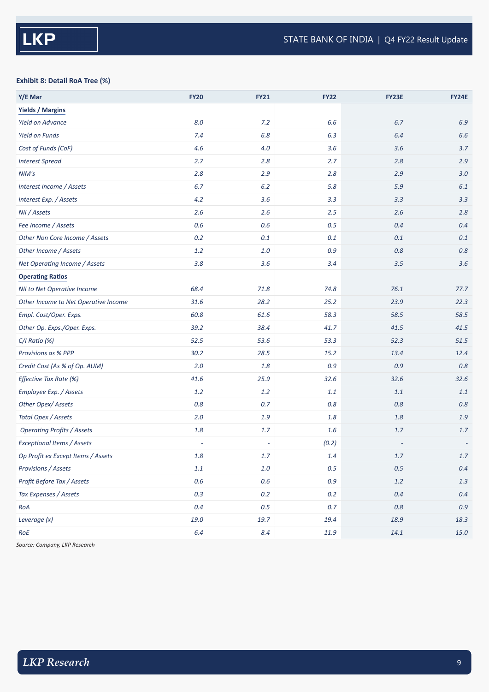#### **Exhibit 8: Detail RoA Tree (%)**

| Y/E Mar                              | <b>FY20</b> | <b>FY21</b> | <b>FY22</b> | FY23E   | <b>FY24E</b> |
|--------------------------------------|-------------|-------------|-------------|---------|--------------|
| <b>Yields / Margins</b>              |             |             |             |         |              |
| <b>Yield on Advance</b>              | $8.0\,$     | 7.2         | 6.6         | 6.7     | 6.9          |
| <b>Yield on Funds</b>                | 7.4         | 6.8         | 6.3         | 6.4     | 6.6          |
| Cost of Funds (CoF)                  | 4.6         | $4.0$       | 3.6         | 3.6     | 3.7          |
| <b>Interest Spread</b>               | 2.7         | 2.8         | 2.7         | 2.8     | 2.9          |
| NIM's                                | 2.8         | 2.9         | 2.8         | 2.9     | 3.0          |
| Interest Income / Assets             | $6.7$       | $6.2\,$     | $5.8$       | 5.9     | 6.1          |
| Interest Exp. / Assets               | 4.2         | 3.6         | 3.3         | 3.3     | 3.3          |
| NII / Assets                         | 2.6         | 2.6         | 2.5         | 2.6     | 2.8          |
| Fee Income / Assets                  | $0.6\,$     | $0.6\,$     | $0.5\,$     | 0.4     | 0.4          |
| Other Non Core Income / Assets       | $0.2\,$     | $0.1\,$     | 0.1         | 0.1     | 0.1          |
| Other Income / Assets                | $1.2\,$     | $1.0\,$     | $0.9\,$     | 0.8     | 0.8          |
| Net Operating Income / Assets        | 3.8         | 3.6         | 3.4         | 3.5     | 3.6          |
| <b>Operating Ratios</b>              |             |             |             |         |              |
| NII to Net Operative Income          | 68.4        | 71.8        | 74.8        | 76.1    | 77.7         |
| Other Income to Net Operative Income | 31.6        | 28.2        | 25.2        | 23.9    | 22.3         |
| Empl. Cost/Oper. Exps.               | 60.8        | 61.6        | 58.3        | 58.5    | 58.5         |
| Other Op. Exps./Oper. Exps.          | 39.2        | 38.4        | 41.7        | 41.5    | 41.5         |
| $C/I$ Ratio $(\%)$                   | 52.5        | 53.6        | 53.3        | 52.3    | 51.5         |
| Provisions as % PPP                  | 30.2        | 28.5        | 15.2        | 13.4    | 12.4         |
| Credit Cost (As % of Op. AUM)        | 2.0         | $1.8\,$     | 0.9         | 0.9     | 0.8          |
| Effective Tax Rate (%)               | 41.6        | 25.9        | 32.6        | 32.6    | 32.6         |
| Employee Exp. / Assets               | $1.2\,$     | $1.2\,$     | 1.1         | 1.1     | 1.1          |
| Other Opex/Assets                    | $0.8\,$     | $0.7\,$     | $0.8\,$     | $0.8\,$ | $0.8\,$      |
| Total Opex / Assets                  | $2.0$       | $1.9$       | $1.8\,$     | 1.8     | 1.9          |
| <b>Operating Profits / Assets</b>    | $1.8\,$     | $1.7\,$     | $1.6\,$     | 1.7     | 1.7          |
| <b>Exceptional Items / Assets</b>    | ÷,          | $\sim$      | (0.2)       |         |              |
| Op Profit ex Except Items / Assets   | $1.8\,$     | $1.7$       | $1.4\,$     | $1.7$   | $1.7\,$      |
| Provisions / Assets                  | $1.1\,$     | $1.0\,$     | $0.5\,$     | $0.5\,$ | $0.4\,$      |
| Profit Before Tax / Assets           | $0.6\,$     | $0.6\,$     | 0.9         | $1.2\,$ | $1.3\,$      |
| Tax Expenses / Assets                | $0.3\,$     | $0.2\,$     | $0.2\,$     | 0.4     | $0.4\,$      |
| RoA                                  | $0.4\,$     | $0.5\,$     | $0.7\,$     | $0.8\,$ | 0.9          |
| Leverage (x)                         | 19.0        | 19.7        | 19.4        | 18.9    | 18.3         |
| RoE                                  | $6.4\,$     | 8.4         | 11.9        | 14.1    | $15.0\,$     |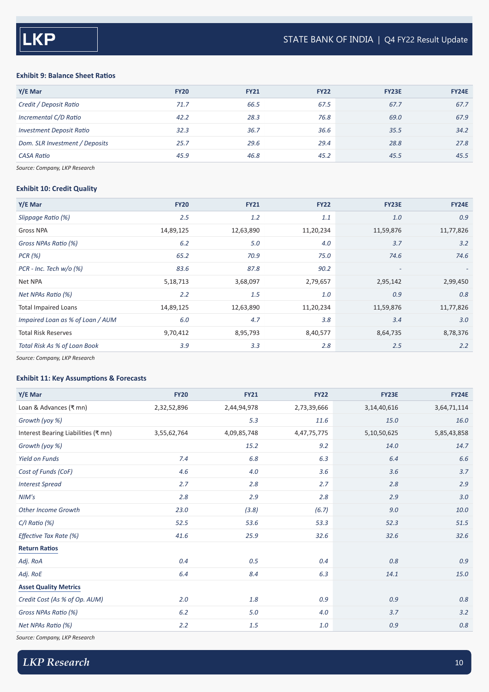#### **Exhibit 9: Balance Sheet Ratios**

| Y/E Mar                         | <b>FY20</b> | <b>FY21</b> | <b>FY22</b> | <b>FY23E</b> | <b>FY24E</b> |
|---------------------------------|-------------|-------------|-------------|--------------|--------------|
| Credit / Deposit Ratio          | 71.7        | 66.5        | 67.5        | 67.7         | 67.7         |
| Incremental C/D Ratio           | 42.2        | 28.3        | 76.8        | 69.0         | 67.9         |
| <b>Investment Deposit Ratio</b> | 32.3        | 36.7        | 36.6        | 35.5         | 34.2         |
| Dom. SLR Investment / Deposits  | 25.7        | 29.6        | 29.4        | 28.8         | 27.8         |
| <b>CASA Ratio</b>               | 45.9        | 46.8        | 45.2        | 45.5         | 45.5         |

*Source: Company, LKP Research*

#### **Exhibit 10: Credit Quality**

| Y/E Mar                          | <b>FY20</b> | <b>FY21</b> | <b>FY22</b> | <b>FY23E</b>             | <b>FY24E</b> |
|----------------------------------|-------------|-------------|-------------|--------------------------|--------------|
| Slippage Ratio (%)               | 2.5         | 1.2         | 1.1         | 1.0                      | 0.9          |
| Gross NPA                        | 14,89,125   | 12,63,890   | 11,20,234   | 11,59,876                | 11,77,826    |
| Gross NPAs Ratio (%)             | 6.2         | 5.0         | 4.0         | 3.7                      | 3.2          |
| PCR (%)                          | 65.2        | 70.9        | 75.0        | 74.6                     | 74.6         |
| $PCR - Inc. Tech w/o (%)$        | 83.6        | 87.8        | 90.2        | $\overline{\phantom{a}}$ | $\sim$       |
| Net NPA                          | 5,18,713    | 3,68,097    | 2,79,657    | 2,95,142                 | 2,99,450     |
| Net NPAs Ratio (%)               | 2.2         | 1.5         | 1.0         | 0.9                      | 0.8          |
| <b>Total Impaired Loans</b>      | 14,89,125   | 12,63,890   | 11,20,234   | 11,59,876                | 11,77,826    |
| Impaired Loan as % of Loan / AUM | 6.0         | 4.7         | 3.8         | 3.4                      | 3.0          |
| <b>Total Risk Reserves</b>       | 9,70,412    | 8,95,793    | 8,40,577    | 8,64,735                 | 8,78,376     |
| Total Risk As % of Loan Book     | 3.9         | 3.3         | 2.8         | 2.5                      | 2.2          |

*Source: Company, LKP Research*

#### **Exhibit 11: Key Assumptions & Forecasts**

| Y/E Mar                             | <b>FY20</b> | <b>FY21</b> | <b>FY22</b> | <b>FY23E</b>   | <b>FY24E</b> |
|-------------------------------------|-------------|-------------|-------------|----------------|--------------|
| Loan & Advances (₹ mn)              | 2,32,52,896 | 2,44,94,978 | 2,73,39,666 | 3, 14, 40, 616 | 3,64,71,114  |
| Growth (yoy %)                      |             | 5.3         | 11.6        | 15.0           | 16.0         |
| Interest Bearing Liabilities (₹ mn) | 3,55,62,764 | 4,09,85,748 | 4,47,75,775 | 5,10,50,625    | 5,85,43,858  |
| Growth (yoy %)                      |             | 15.2        | 9.2         | 14.0           | 14.7         |
| <b>Yield on Funds</b>               | 7.4         | $6.8\,$     | 6.3         | 6.4            | 6.6          |
| Cost of Funds (CoF)                 | 4.6         | 4.0         | 3.6         | 3.6            | 3.7          |
| <b>Interest Spread</b>              | 2.7         | 2.8         | 2.7         | 2.8            | 2.9          |
| NIM's                               | 2.8         | 2.9         | 2.8         | 2.9            | 3.0          |
| <b>Other Income Growth</b>          | 23.0        | (3.8)       | (6.7)       | 9.0            | 10.0         |
| $C/I$ Ratio (%)                     | 52.5        | 53.6        | 53.3        | 52.3           | 51.5         |
| Effective Tax Rate (%)              | 41.6        | 25.9        | 32.6        | 32.6           | 32.6         |
| <b>Return Ratios</b>                |             |             |             |                |              |
| Adj. RoA                            | 0.4         | 0.5         | 0.4         | 0.8            | 0.9          |
| Adj. RoE                            | 6.4         | 8.4         | 6.3         | 14.1           | 15.0         |
| <b>Asset Quality Metrics</b>        |             |             |             |                |              |
| Credit Cost (As % of Op. AUM)       | 2.0         | 1.8         | 0.9         | 0.9            | $0.8\,$      |
| Gross NPAs Ratio (%)                | 6.2         | 5.0         | 4.0         | 3.7            | 3.2          |
| Net NPAs Ratio (%)                  | 2.2         | 1.5         | 1.0         | 0.9            | $0.8\,$      |
|                                     |             |             |             |                |              |